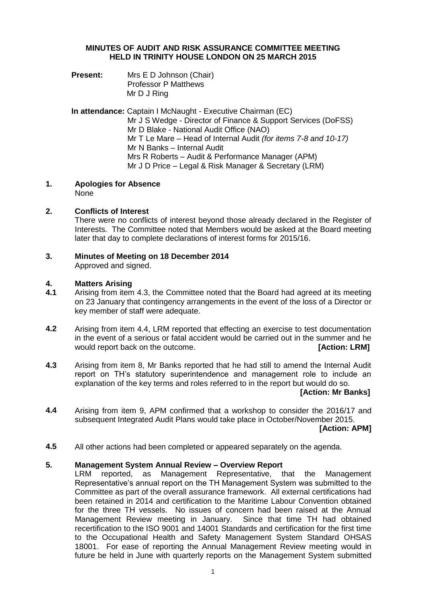# **MINUTES OF AUDIT AND RISK ASSURANCE COMMITTEE MEETING HELD IN TRINITY HOUSE LONDON ON 25 MARCH 2015**

**Present:** Mrs E D Johnson (Chair) Professor P Matthews Mr D J Ring

**In attendance:** Captain I McNaught - Executive Chairman (EC) Mr J S Wedge - Director of Finance & Support Services (DoFSS) Mr D Blake - National Audit Office (NAO) Mr T Le Mare – Head of Internal Audit *(for items 7-8 and 10-17)* Mr N Banks – Internal Audit Mrs R Roberts – Audit & Performance Manager (APM) Mr J D Price – Legal & Risk Manager & Secretary (LRM)

**1. Apologies for Absence** None

### **2. Conflicts of Interest**

There were no conflicts of interest beyond those already declared in the Register of Interests. The Committee noted that Members would be asked at the Board meeting later that day to complete declarations of interest forms for 2015/16.

**3. Minutes of Meeting on 18 December 2014**

Approved and signed.

## **4. Matters Arising**

- **4.1** Arising from item 4.3, the Committee noted that the Board had agreed at its meeting on 23 January that contingency arrangements in the event of the loss of a Director or key member of staff were adequate.
- **4.2** Arising from item 4.4, LRM reported that effecting an exercise to test documentation in the event of a serious or fatal accident would be carried out in the summer and he would report back on the outcome. **[Action: LRM]**
- **4.3** Arising from item 8, Mr Banks reported that he had still to amend the Internal Audit report on TH's statutory superintendence and management role to include an explanation of the key terms and roles referred to in the report but would do so.

# **[Action: Mr Banks]**

**4.4** Arising from item 9, APM confirmed that a workshop to consider the 2016/17 and subsequent Integrated Audit Plans would take place in October/November 2015.

**[Action: APM]**

**4.5** All other actions had been completed or appeared separately on the agenda.

### **5. Management System Annual Review – Overview Report**

LRM reported, as Management Representative, that the Management Representative's annual report on the TH Management System was submitted to the Committee as part of the overall assurance framework. All external certifications had been retained in 2014 and certification to the Maritime Labour Convention obtained for the three TH vessels. No issues of concern had been raised at the Annual Management Review meeting in January. Since that time TH had obtained recertification to the ISO 9001 and 14001 Standards and certification for the first time to the Occupational Health and Safety Management System Standard OHSAS 18001. For ease of reporting the Annual Management Review meeting would in future be held in June with quarterly reports on the Management System submitted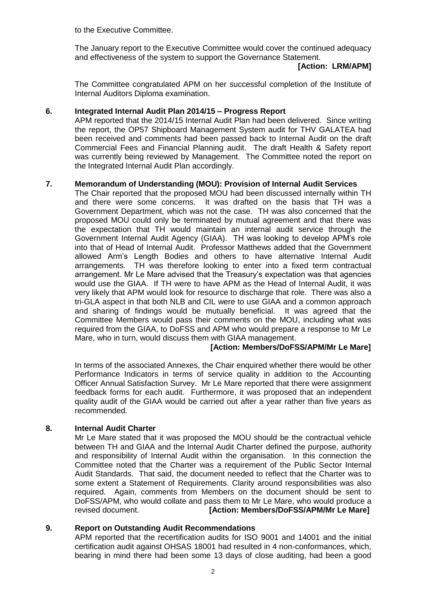to the Executive Committee.

The January report to the Executive Committee would cover the continued adequacy and effectiveness of the system to support the Governance Statement.

# **[Action: LRM/APM]**

The Committee congratulated APM on her successful completion of the Institute of Internal Auditors Diploma examination.

## **6. Integrated Internal Audit Plan 2014/15 – Progress Report**

APM reported that the 2014/15 Internal Audit Plan had been delivered. Since writing the report, the OP57 Shipboard Management System audit for THV GALATEA had been received and comments had been passed back to Internal Audit on the draft Commercial Fees and Financial Planning audit. The draft Health & Safety report was currently being reviewed by Management. The Committee noted the report on the Integrated Internal Audit Plan accordingly.

## **7. Memorandum of Understanding (MOU): Provision of Internal Audit Services**

The Chair reported that the proposed MOU had been discussed internally within TH and there were some concerns. It was drafted on the basis that TH was a Government Department, which was not the case. TH was also concerned that the proposed MOU could only be terminated by mutual agreement and that there was the expectation that TH would maintain an internal audit service through the Government Internal Audit Agency (GIAA). TH was looking to develop APM's role into that of Head of Internal Audit. Professor Matthews added that the Government allowed Arm's Length Bodies and others to have alternative Internal Audit arrangements. TH was therefore looking to enter into a fixed term contractual arrangement. Mr Le Mare advised that the Treasury's expectation was that agencies would use the GIAA. If TH were to have APM as the Head of Internal Audit, it was very likely that APM would look for resource to discharge that role. There was also a tri-GLA aspect in that both NLB and CIL were to use GIAA and a common approach and sharing of findings would be mutually beneficial. It was agreed that the Committee Members would pass their comments on the MOU, including what was required from the GIAA, to DoFSS and APM who would prepare a response to Mr Le Mare, who in turn, would discuss them with GIAA management.

# **[Action: Members/DoFSS/APM/Mr Le Mare]**

In terms of the associated Annexes, the Chair enquired whether there would be other Performance Indicators in terms of service quality in addition to the Accounting Officer Annual Satisfaction Survey. Mr Le Mare reported that there were assignment feedback forms for each audit. Furthermore, it was proposed that an independent quality audit of the GIAA would be carried out after a year rather than five years as recommended.

### **8. Internal Audit Charter**

Mr Le Mare stated that it was proposed the MOU should be the contractual vehicle between TH and GIAA and the Internal Audit Charter defined the purpose, authority and responsibility of Internal Audit within the organisation. In this connection the Committee noted that the Charter was a requirement of the Public Sector Internal Audit Standards. That said, the document needed to reflect that the Charter was to some extent a Statement of Requirements. Clarity around responsibilities was also required. Again, comments from Members on the document should be sent to DoFSS/APM, who would collate and pass them to Mr Le Mare, who would produce a revised document. **[Action: Members/DoFSS/APM/Mr Le Mare]**

### **9. Report on Outstanding Audit Recommendations**

APM reported that the recertification audits for ISO 9001 and 14001 and the initial certification audit against OHSAS 18001 had resulted in 4 non-conformances, which, bearing in mind there had been some 13 days of close auditing, had been a good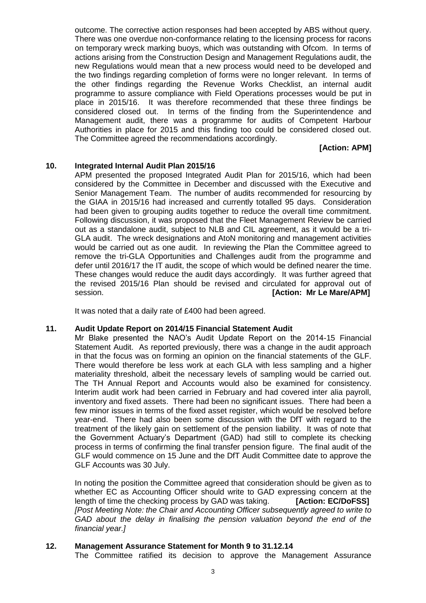outcome. The corrective action responses had been accepted by ABS without query. There was one overdue non-conformance relating to the licensing process for racons on temporary wreck marking buoys, which was outstanding with Ofcom. In terms of actions arising from the Construction Design and Management Regulations audit, the new Regulations would mean that a new process would need to be developed and the two findings regarding completion of forms were no longer relevant. In terms of the other findings regarding the Revenue Works Checklist, an internal audit programme to assure compliance with Field Operations processes would be put in place in 2015/16. It was therefore recommended that these three findings be considered closed out. In terms of the finding from the Superintendence and Management audit, there was a programme for audits of Competent Harbour Authorities in place for 2015 and this finding too could be considered closed out. The Committee agreed the recommendations accordingly.

# **[Action: APM]**

#### **10. Integrated Internal Audit Plan 2015/16**

APM presented the proposed Integrated Audit Plan for 2015/16, which had been considered by the Committee in December and discussed with the Executive and Senior Management Team. The number of audits recommended for resourcing by the GIAA in 2015/16 had increased and currently totalled 95 days. Consideration had been given to grouping audits together to reduce the overall time commitment. Following discussion, it was proposed that the Fleet Management Review be carried out as a standalone audit, subject to NLB and CIL agreement, as it would be a tri-GLA audit. The wreck designations and AtoN monitoring and management activities would be carried out as one audit. In reviewing the Plan the Committee agreed to remove the tri-GLA Opportunities and Challenges audit from the programme and defer until 2016/17 the IT audit, the scope of which would be defined nearer the time. These changes would reduce the audit days accordingly. It was further agreed that the revised 2015/16 Plan should be revised and circulated for approval out of session. *CON CON CON CON CON CON CON CON CON CON CON CON CON CON CON CON CON CON CON CON CON CON CON CON CON CON CON* 

It was noted that a daily rate of £400 had been agreed.

#### **11. Audit Update Report on 2014/15 Financial Statement Audit**

Mr Blake presented the NAO's Audit Update Report on the 2014-15 Financial Statement Audit. As reported previously, there was a change in the audit approach in that the focus was on forming an opinion on the financial statements of the GLF. There would therefore be less work at each GLA with less sampling and a higher materiality threshold, albeit the necessary levels of sampling would be carried out. The TH Annual Report and Accounts would also be examined for consistency. Interim audit work had been carried in February and had covered inter alia payroll, inventory and fixed assets. There had been no significant issues. There had been a few minor issues in terms of the fixed asset register, which would be resolved before year-end. There had also been some discussion with the DfT with regard to the treatment of the likely gain on settlement of the pension liability. It was of note that the Government Actuary's Department (GAD) had still to complete its checking process in terms of confirming the final transfer pension figure. The final audit of the GLF would commence on 15 June and the DfT Audit Committee date to approve the GLF Accounts was 30 July.

In noting the position the Committee agreed that consideration should be given as to whether EC as Accounting Officer should write to GAD expressing concern at the length of time the checking process by GAD was taking. **[Action: EC/DoFSS]** *[Post Meeting Note: the Chair and Accounting Officer subsequently agreed to write to GAD about the delay in finalising the pension valuation beyond the end of the financial year.]*

#### **12. Management Assurance Statement for Month 9 to 31.12.14**

The Committee ratified its decision to approve the Management Assurance